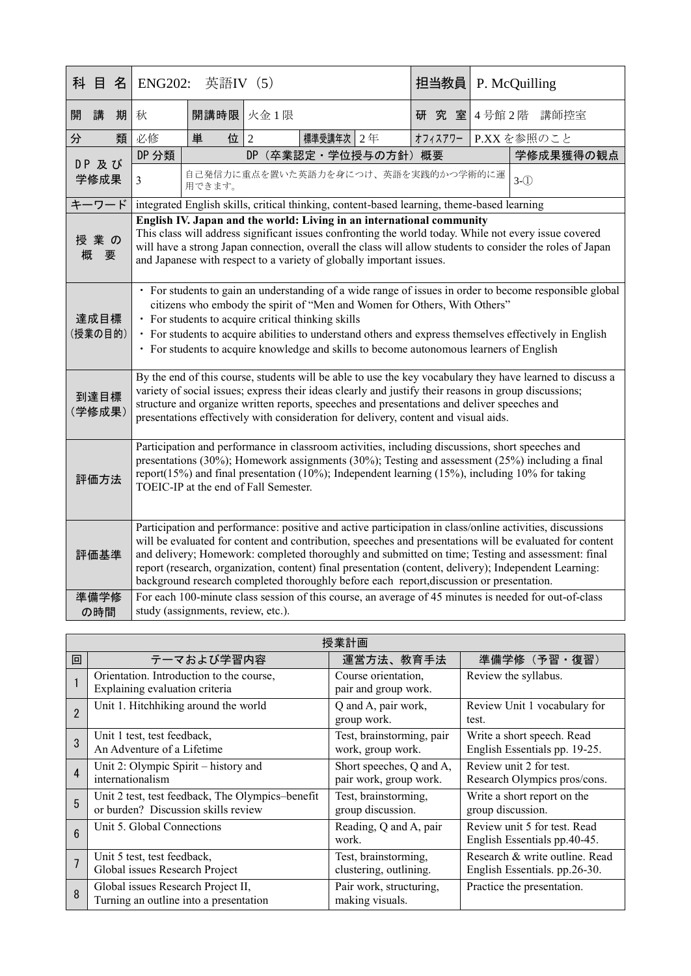|                 | 科 目                                                                                                                                                                                                                                                                                                                                                    | 名                                                                                                                                           | 英語IV (5)<br><b>ENG202:</b>                                                                                                                                                                                                                                                                                                                                                                                                                                                                                                      |              |                |           |                                    | 担当教員    | P. McQuilling        |                 |  |
|-----------------|--------------------------------------------------------------------------------------------------------------------------------------------------------------------------------------------------------------------------------------------------------------------------------------------------------------------------------------------------------|---------------------------------------------------------------------------------------------------------------------------------------------|---------------------------------------------------------------------------------------------------------------------------------------------------------------------------------------------------------------------------------------------------------------------------------------------------------------------------------------------------------------------------------------------------------------------------------------------------------------------------------------------------------------------------------|--------------|----------------|-----------|------------------------------------|---------|----------------------|-----------------|--|
| 開               | 講                                                                                                                                                                                                                                                                                                                                                      | 期                                                                                                                                           | 秋                                                                                                                                                                                                                                                                                                                                                                                                                                                                                                                               | 開講時限<br>火金1限 |                |           |                                    |         | 4号館2階<br>研究室<br>講師控室 |                 |  |
| 分               |                                                                                                                                                                                                                                                                                                                                                        | 類                                                                                                                                           | 必修                                                                                                                                                                                                                                                                                                                                                                                                                                                                                                                              | 単<br>位       | $\overline{2}$ | 標準受講年次 2年 |                                    | オフィスアワー |                      | P.XXを参照のこと      |  |
|                 | DP 及び<br>学修成果                                                                                                                                                                                                                                                                                                                                          |                                                                                                                                             | DP 分類                                                                                                                                                                                                                                                                                                                                                                                                                                                                                                                           |              |                |           | DP (卒業認定·学位授与の方針) 概要               |         |                      | 学修成果獲得の観点       |  |
|                 |                                                                                                                                                                                                                                                                                                                                                        |                                                                                                                                             | 3                                                                                                                                                                                                                                                                                                                                                                                                                                                                                                                               | 用できます。       |                |           | 自己発信力に重点を置いた英語力を身につけ、英語を実践的かつ学術的に運 |         |                      | $3-\circled{1}$ |  |
| キーワード           |                                                                                                                                                                                                                                                                                                                                                        |                                                                                                                                             | integrated English skills, critical thinking, content-based learning, theme-based learning                                                                                                                                                                                                                                                                                                                                                                                                                                      |              |                |           |                                    |         |                      |                 |  |
| 授業の<br>概<br>要   |                                                                                                                                                                                                                                                                                                                                                        |                                                                                                                                             | English IV. Japan and the world: Living in an international community<br>This class will address significant issues confronting the world today. While not every issue covered<br>will have a strong Japan connection, overall the class will allow students to consider the roles of Japan<br>and Japanese with respect to a variety of globally important issues.                                                                                                                                                             |              |                |           |                                    |         |                      |                 |  |
| 達成目標<br>(授業の目的) |                                                                                                                                                                                                                                                                                                                                                        |                                                                                                                                             | · For students to gain an understanding of a wide range of issues in order to become responsible global<br>citizens who embody the spirit of "Men and Women for Others, With Others"<br>• For students to acquire critical thinking skills<br>• For students to acquire abilities to understand others and express themselves effectively in English<br>• For students to acquire knowledge and skills to become autonomous learners of English                                                                                 |              |                |           |                                    |         |                      |                 |  |
| 到達目標<br>(学修成果)  |                                                                                                                                                                                                                                                                                                                                                        |                                                                                                                                             | By the end of this course, students will be able to use the key vocabulary they have learned to discuss a<br>variety of social issues; express their ideas clearly and justify their reasons in group discussions;<br>structure and organize written reports, speeches and presentations and deliver speeches and<br>presentations effectively with consideration for delivery, content and visual aids.                                                                                                                        |              |                |           |                                    |         |                      |                 |  |
|                 | Participation and performance in classroom activities, including discussions, short speeches and<br>presentations (30%); Homework assignments (30%); Testing and assessment (25%) including a final<br>report(15%) and final presentation (10%); Independent learning (15%), including 10% for taking<br>評価方法<br>TOEIC-IP at the end of Fall Semester. |                                                                                                                                             |                                                                                                                                                                                                                                                                                                                                                                                                                                                                                                                                 |              |                |           |                                    |         |                      |                 |  |
|                 | 評価基準                                                                                                                                                                                                                                                                                                                                                   |                                                                                                                                             | Participation and performance: positive and active participation in class/online activities, discussions<br>will be evaluated for content and contribution, speeches and presentations will be evaluated for content<br>and delivery; Homework: completed thoroughly and submitted on time; Testing and assessment: final<br>report (research, organization, content) final presentation (content, delivery); Independent Learning:<br>background research completed thoroughly before each report, discussion or presentation. |              |                |           |                                    |         |                      |                 |  |
|                 | 準備学修<br>の時間                                                                                                                                                                                                                                                                                                                                            | For each 100-minute class session of this course, an average of 45 minutes is needed for out-of-class<br>study (assignments, review, etc.). |                                                                                                                                                                                                                                                                                                                                                                                                                                                                                                                                 |              |                |           |                                    |         |                      |                 |  |

| 授業計画           |                                                                                         |                                                    |                                                                 |  |  |
|----------------|-----------------------------------------------------------------------------------------|----------------------------------------------------|-----------------------------------------------------------------|--|--|
| 回              | テーマおよび学習内容                                                                              | 運営方法、教育手法                                          | 準備学修 (予習·復習)                                                    |  |  |
|                | Orientation. Introduction to the course,<br>Explaining evaluation criteria              | Course orientation,<br>pair and group work.        | Review the syllabus.                                            |  |  |
| $\overline{2}$ | Unit 1. Hitchhiking around the world                                                    | Q and A, pair work,<br>group work.                 | Review Unit 1 vocabulary for<br>test.                           |  |  |
| 3              | Unit 1 test, test feedback,<br>An Adventure of a Lifetime                               | Test, brainstorming, pair<br>work, group work.     | Write a short speech. Read<br>English Essentials pp. 19-25.     |  |  |
| $\overline{4}$ | Unit 2: Olympic Spirit – history and<br>internationalism                                | Short speeches, Q and A,<br>pair work, group work. | Review unit 2 for test.<br>Research Olympics pros/cons.         |  |  |
| 5              | Unit 2 test, test feedback, The Olympics-benefit<br>or burden? Discussion skills review | Test, brainstorming,<br>group discussion.          | Write a short report on the<br>group discussion.                |  |  |
| $6\phantom{1}$ | Unit 5. Global Connections                                                              | Reading, Q and A, pair<br>work.                    | Review unit 5 for test. Read<br>English Essentials pp.40-45.    |  |  |
|                | Unit 5 test, test feedback,<br>Global issues Research Project                           | Test, brainstorming,<br>clustering, outlining.     | Research & write outline. Read<br>English Essentials. pp.26-30. |  |  |
| 8              | Global issues Research Project II,<br>Turning an outline into a presentation            | Pair work, structuring,<br>making visuals.         | Practice the presentation.                                      |  |  |